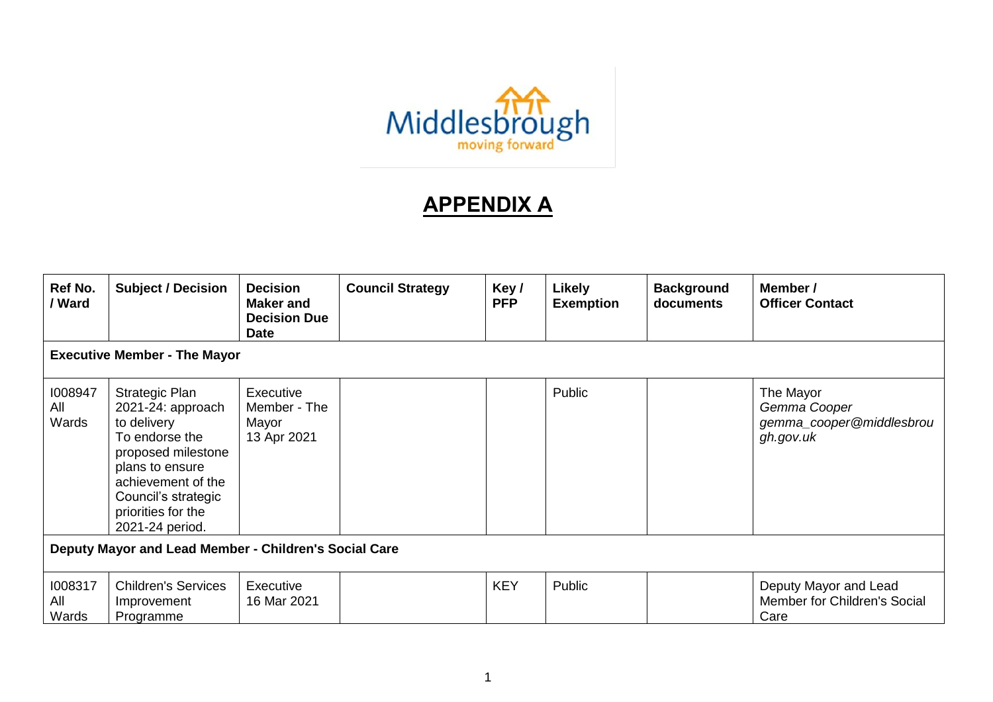

## **APPENDIX A**

| Ref No.<br>/ Ward                                     | <b>Subject / Decision</b>                                                                                                                                                                                  | <b>Decision</b><br><b>Maker and</b><br><b>Decision Due</b><br><b>Date</b> | <b>Council Strategy</b> | Key/<br><b>PFP</b> | Likely<br><b>Exemption</b> | <b>Background</b><br>documents | Member /<br><b>Officer Contact</b>                                 |  |  |
|-------------------------------------------------------|------------------------------------------------------------------------------------------------------------------------------------------------------------------------------------------------------------|---------------------------------------------------------------------------|-------------------------|--------------------|----------------------------|--------------------------------|--------------------------------------------------------------------|--|--|
| <b>Executive Member - The Mayor</b>                   |                                                                                                                                                                                                            |                                                                           |                         |                    |                            |                                |                                                                    |  |  |
| 1008947<br>All<br>Wards                               | <b>Strategic Plan</b><br>2021-24: approach<br>to delivery<br>To endorse the<br>proposed milestone<br>plans to ensure<br>achievement of the<br>Council's strategic<br>priorities for the<br>2021-24 period. | Executive<br>Member - The<br>Mayor<br>13 Apr 2021                         |                         |                    | Public                     |                                | The Mayor<br>Gemma Cooper<br>gemma_cooper@middlesbrou<br>gh.gov.uk |  |  |
| Deputy Mayor and Lead Member - Children's Social Care |                                                                                                                                                                                                            |                                                                           |                         |                    |                            |                                |                                                                    |  |  |
| 1008317<br>All<br>Wards                               | <b>Children's Services</b><br>Improvement<br>Programme                                                                                                                                                     | Executive<br>16 Mar 2021                                                  |                         | <b>KEY</b>         | Public                     |                                | Deputy Mayor and Lead<br>Member for Children's Social<br>Care      |  |  |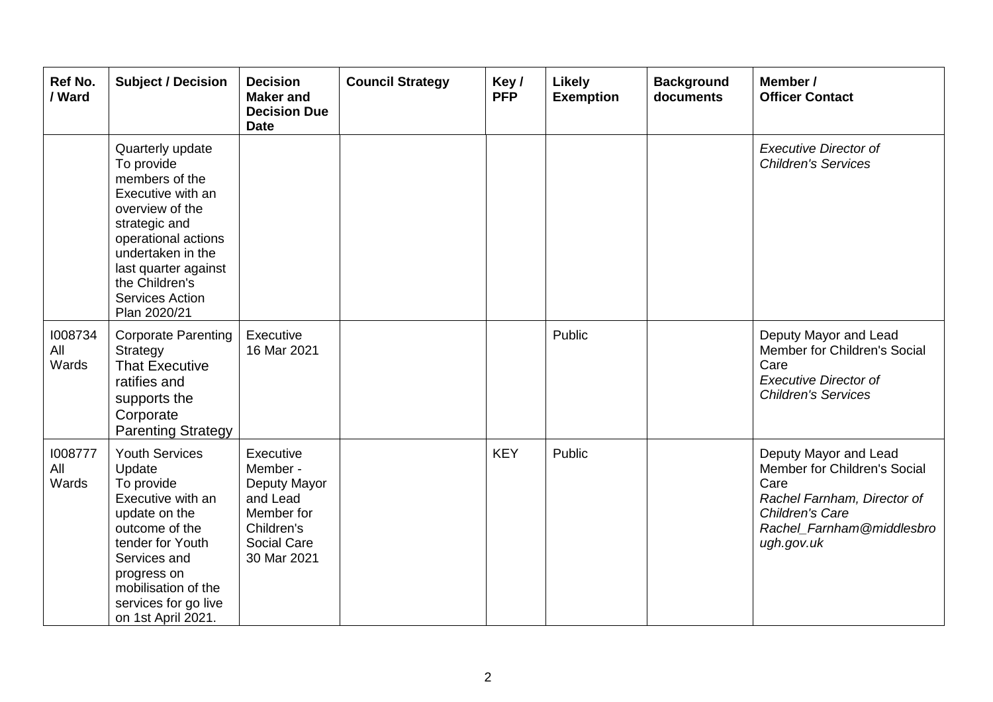| Ref No.<br>/ Ward       | <b>Subject / Decision</b>                                                                                                                                                                                                                 | <b>Decision</b><br><b>Maker</b> and<br><b>Decision Due</b><br><b>Date</b>                                   | <b>Council Strategy</b> | Key/<br><b>PFP</b> | <b>Likely</b><br><b>Exemption</b> | <b>Background</b><br>documents | Member /<br><b>Officer Contact</b>                                                                                                                                |
|-------------------------|-------------------------------------------------------------------------------------------------------------------------------------------------------------------------------------------------------------------------------------------|-------------------------------------------------------------------------------------------------------------|-------------------------|--------------------|-----------------------------------|--------------------------------|-------------------------------------------------------------------------------------------------------------------------------------------------------------------|
|                         | Quarterly update<br>To provide<br>members of the<br>Executive with an<br>overview of the<br>strategic and<br>operational actions<br>undertaken in the<br>last quarter against<br>the Children's<br><b>Services Action</b><br>Plan 2020/21 |                                                                                                             |                         |                    |                                   |                                | <b>Executive Director of</b><br><b>Children's Services</b>                                                                                                        |
| 1008734<br>All<br>Wards | <b>Corporate Parenting</b><br>Strategy<br><b>That Executive</b><br>ratifies and<br>supports the<br>Corporate<br><b>Parenting Strategy</b>                                                                                                 | Executive<br>16 Mar 2021                                                                                    |                         |                    | Public                            |                                | Deputy Mayor and Lead<br>Member for Children's Social<br>Care<br><b>Executive Director of</b><br><b>Children's Services</b>                                       |
| 1008777<br>All<br>Wards | <b>Youth Services</b><br>Update<br>To provide<br>Executive with an<br>update on the<br>outcome of the<br>tender for Youth<br>Services and<br>progress on<br>mobilisation of the<br>services for go live<br>on 1st April 2021.             | Executive<br>Member -<br>Deputy Mayor<br>and Lead<br>Member for<br>Children's<br>Social Care<br>30 Mar 2021 |                         | <b>KEY</b>         | Public                            |                                | Deputy Mayor and Lead<br>Member for Children's Social<br>Care<br>Rachel Farnham, Director of<br><b>Children's Care</b><br>Rachel_Farnham@middlesbro<br>ugh.gov.uk |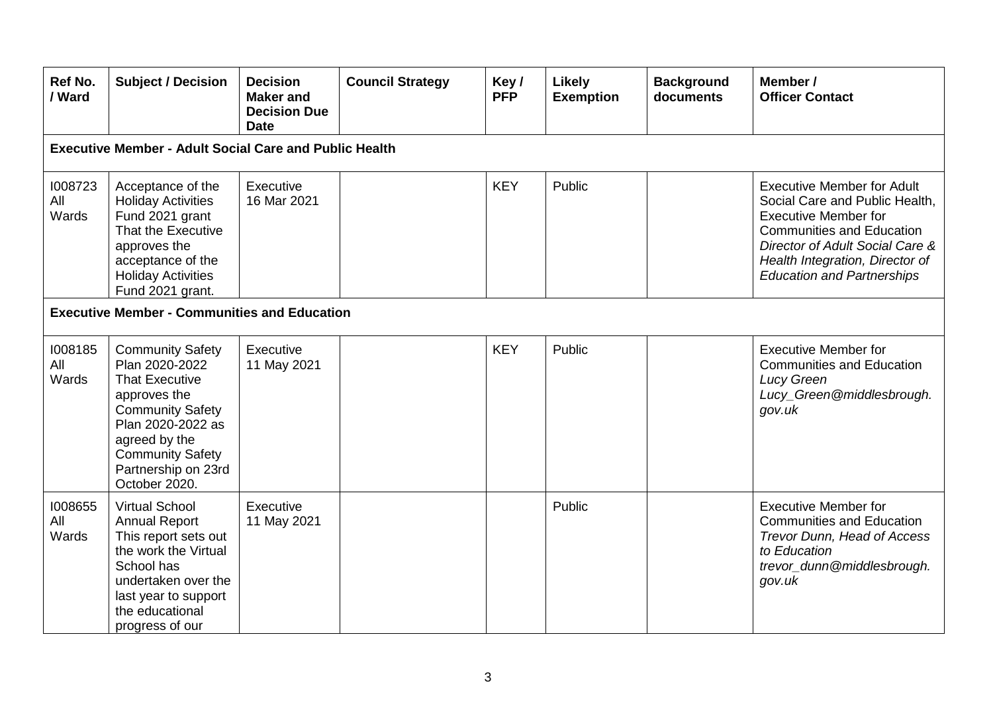| Ref No.<br>/ Ward                                             | <b>Subject / Decision</b>                                                                                                                                                                                              | <b>Decision</b><br><b>Maker</b> and<br><b>Decision Due</b><br><b>Date</b> | <b>Council Strategy</b> | Key/<br><b>PFP</b> | Likely<br><b>Exemption</b> | <b>Background</b><br>documents | Member /<br><b>Officer Contact</b>                                                                                                                                                                                                                |  |  |  |
|---------------------------------------------------------------|------------------------------------------------------------------------------------------------------------------------------------------------------------------------------------------------------------------------|---------------------------------------------------------------------------|-------------------------|--------------------|----------------------------|--------------------------------|---------------------------------------------------------------------------------------------------------------------------------------------------------------------------------------------------------------------------------------------------|--|--|--|
| <b>Executive Member - Adult Social Care and Public Health</b> |                                                                                                                                                                                                                        |                                                                           |                         |                    |                            |                                |                                                                                                                                                                                                                                                   |  |  |  |
| 1008723<br>All<br>Wards                                       | Acceptance of the<br><b>Holiday Activities</b><br>Fund 2021 grant<br>That the Executive<br>approves the<br>acceptance of the<br><b>Holiday Activities</b><br>Fund 2021 grant.                                          | Executive<br>16 Mar 2021                                                  |                         | <b>KEY</b>         | Public                     |                                | <b>Executive Member for Adult</b><br>Social Care and Public Health,<br><b>Executive Member for</b><br><b>Communities and Education</b><br>Director of Adult Social Care &<br>Health Integration, Director of<br><b>Education and Partnerships</b> |  |  |  |
|                                                               | <b>Executive Member - Communities and Education</b>                                                                                                                                                                    |                                                                           |                         |                    |                            |                                |                                                                                                                                                                                                                                                   |  |  |  |
| 1008185<br>All<br>Wards                                       | <b>Community Safety</b><br>Plan 2020-2022<br><b>That Executive</b><br>approves the<br><b>Community Safety</b><br>Plan 2020-2022 as<br>agreed by the<br><b>Community Safety</b><br>Partnership on 23rd<br>October 2020. | Executive<br>11 May 2021                                                  |                         | <b>KEY</b>         | Public                     |                                | <b>Executive Member for</b><br><b>Communities and Education</b><br><b>Lucy Green</b><br>Lucy_Green@middlesbrough.<br>gov.uk                                                                                                                       |  |  |  |
| 1008655<br>All<br>Wards                                       | <b>Virtual School</b><br><b>Annual Report</b><br>This report sets out<br>the work the Virtual<br>School has<br>undertaken over the<br>last year to support<br>the educational<br>progress of our                       | Executive<br>11 May 2021                                                  |                         |                    | Public                     |                                | <b>Executive Member for</b><br><b>Communities and Education</b><br>Trevor Dunn, Head of Access<br>to Education<br>trevor_dunn@middlesbrough.<br>gov.uk                                                                                            |  |  |  |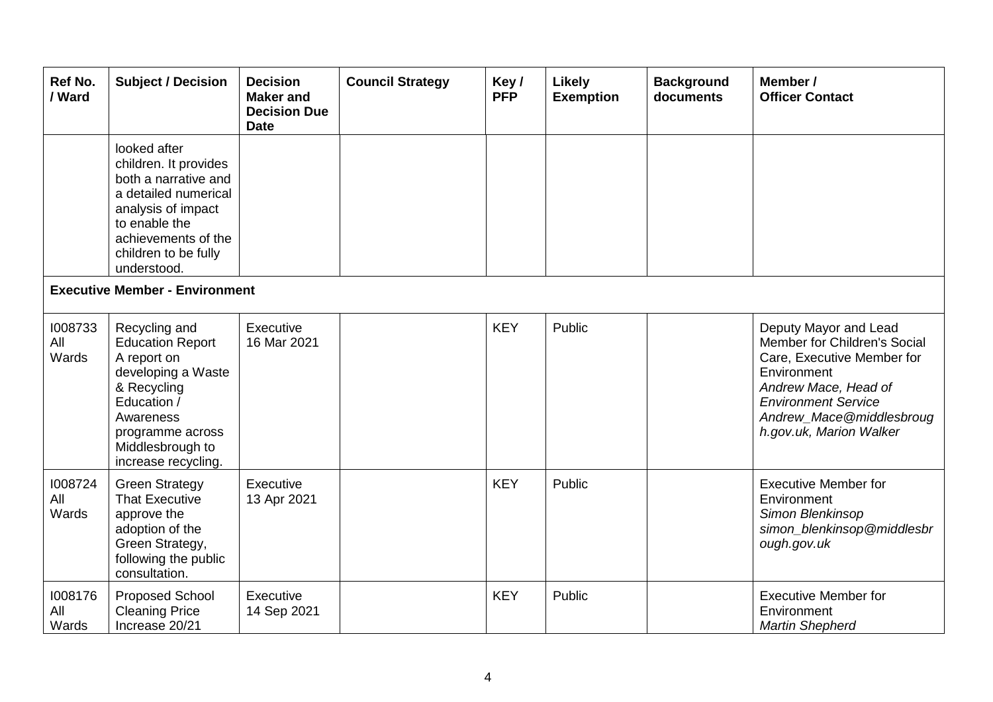| Ref No.<br>/ Ward       | <b>Subject / Decision</b>                                                                                                                                                                  | <b>Decision</b><br><b>Maker and</b><br><b>Decision Due</b><br><b>Date</b> | <b>Council Strategy</b> | Key/<br><b>PFP</b> | <b>Likely</b><br><b>Exemption</b> | <b>Background</b><br>documents | Member /<br><b>Officer Contact</b>                                                                                                                                                                              |  |  |
|-------------------------|--------------------------------------------------------------------------------------------------------------------------------------------------------------------------------------------|---------------------------------------------------------------------------|-------------------------|--------------------|-----------------------------------|--------------------------------|-----------------------------------------------------------------------------------------------------------------------------------------------------------------------------------------------------------------|--|--|
|                         | looked after<br>children. It provides<br>both a narrative and<br>a detailed numerical<br>analysis of impact<br>to enable the<br>achievements of the<br>children to be fully<br>understood. |                                                                           |                         |                    |                                   |                                |                                                                                                                                                                                                                 |  |  |
|                         | <b>Executive Member - Environment</b>                                                                                                                                                      |                                                                           |                         |                    |                                   |                                |                                                                                                                                                                                                                 |  |  |
| 1008733<br>All<br>Wards | Recycling and<br><b>Education Report</b><br>A report on<br>developing a Waste<br>& Recycling<br>Education /<br>Awareness<br>programme across<br>Middlesbrough to<br>increase recycling.    | Executive<br>16 Mar 2021                                                  |                         | <b>KEY</b>         | Public                            |                                | Deputy Mayor and Lead<br>Member for Children's Social<br>Care, Executive Member for<br>Environment<br>Andrew Mace, Head of<br><b>Environment Service</b><br>Andrew_Mace@middlesbroug<br>h.gov.uk, Marion Walker |  |  |
| 1008724<br>All<br>Wards | <b>Green Strategy</b><br><b>That Executive</b><br>approve the<br>adoption of the<br>Green Strategy,<br>following the public<br>consultation.                                               | Executive<br>13 Apr 2021                                                  |                         | <b>KEY</b>         | Public                            |                                | <b>Executive Member for</b><br>Environment<br>Simon Blenkinsop<br>simon_blenkinsop@middlesbr<br>ough.gov.uk                                                                                                     |  |  |
| 1008176<br>All<br>Wards | Proposed School<br><b>Cleaning Price</b><br>Increase 20/21                                                                                                                                 | Executive<br>14 Sep 2021                                                  |                         | <b>KEY</b>         | Public                            |                                | <b>Executive Member for</b><br>Environment<br><b>Martin Shepherd</b>                                                                                                                                            |  |  |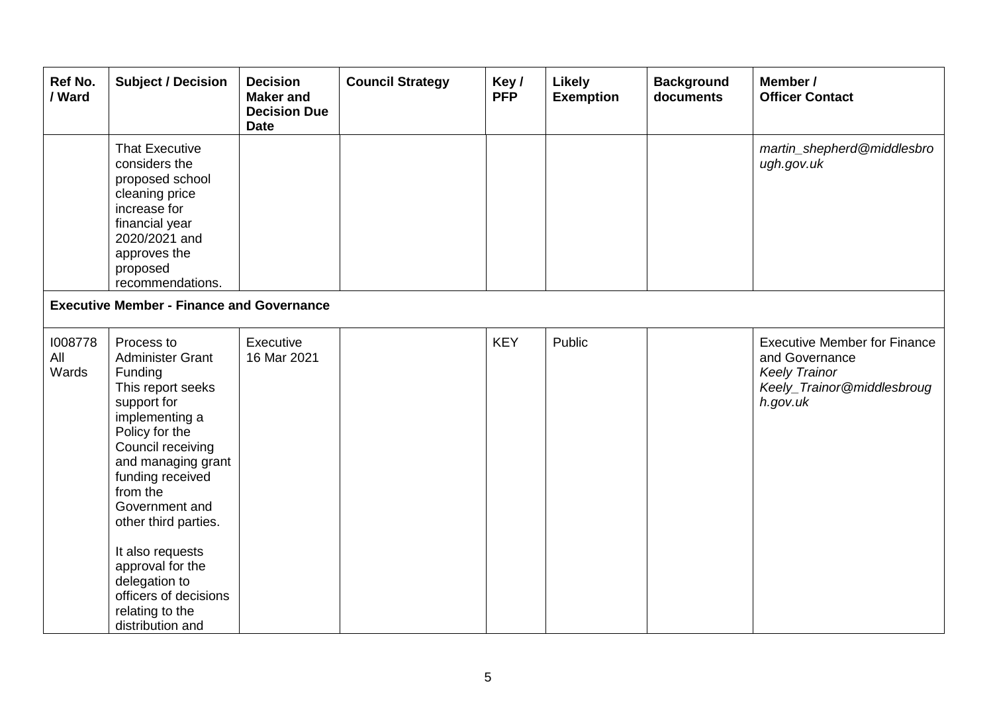| Ref No.<br>/ Ward       | <b>Subject / Decision</b>                                                                                                                                                                                                                                                                                                                                              | <b>Decision</b><br><b>Maker</b> and<br><b>Decision Due</b><br><b>Date</b> | <b>Council Strategy</b> | Key/<br><b>PFP</b> | <b>Likely</b><br><b>Exemption</b> | <b>Background</b><br>documents | Member /<br><b>Officer Contact</b>                                                                                      |  |  |  |
|-------------------------|------------------------------------------------------------------------------------------------------------------------------------------------------------------------------------------------------------------------------------------------------------------------------------------------------------------------------------------------------------------------|---------------------------------------------------------------------------|-------------------------|--------------------|-----------------------------------|--------------------------------|-------------------------------------------------------------------------------------------------------------------------|--|--|--|
|                         | <b>That Executive</b><br>considers the<br>proposed school<br>cleaning price<br>increase for<br>financial year<br>2020/2021 and<br>approves the<br>proposed<br>recommendations.                                                                                                                                                                                         |                                                                           |                         |                    |                                   |                                | martin_shepherd@middlesbro<br>ugh.gov.uk                                                                                |  |  |  |
|                         | <b>Executive Member - Finance and Governance</b>                                                                                                                                                                                                                                                                                                                       |                                                                           |                         |                    |                                   |                                |                                                                                                                         |  |  |  |
| 1008778<br>All<br>Wards | Process to<br><b>Administer Grant</b><br>Funding<br>This report seeks<br>support for<br>implementing a<br>Policy for the<br>Council receiving<br>and managing grant<br>funding received<br>from the<br>Government and<br>other third parties.<br>It also requests<br>approval for the<br>delegation to<br>officers of decisions<br>relating to the<br>distribution and | Executive<br>16 Mar 2021                                                  |                         | <b>KEY</b>         | Public                            |                                | <b>Executive Member for Finance</b><br>and Governance<br><b>Keely Trainor</b><br>Keely_Trainor@middlesbroug<br>h.gov.uk |  |  |  |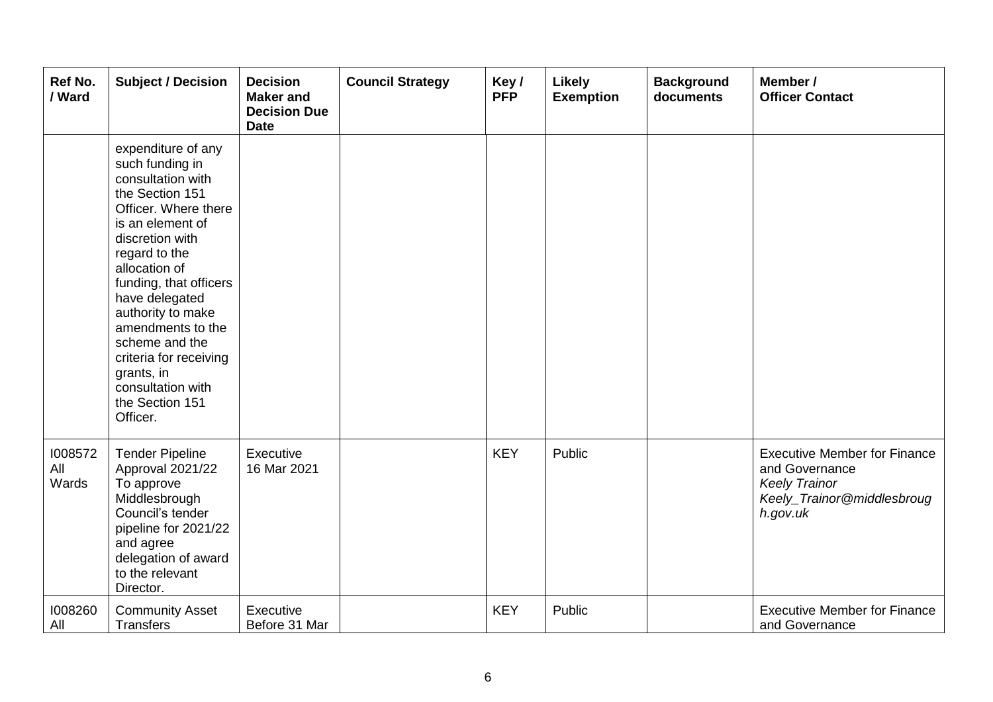| Ref No.<br>/ Ward       | <b>Subject / Decision</b>                                                                                                                                                                                                                                                                                                                                                          | <b>Decision</b><br><b>Maker</b> and<br><b>Decision Due</b><br><b>Date</b> | <b>Council Strategy</b> | Key/<br><b>PFP</b> | Likely<br><b>Exemption</b> | <b>Background</b><br>documents | Member /<br><b>Officer Contact</b>                                                                                      |
|-------------------------|------------------------------------------------------------------------------------------------------------------------------------------------------------------------------------------------------------------------------------------------------------------------------------------------------------------------------------------------------------------------------------|---------------------------------------------------------------------------|-------------------------|--------------------|----------------------------|--------------------------------|-------------------------------------------------------------------------------------------------------------------------|
|                         | expenditure of any<br>such funding in<br>consultation with<br>the Section 151<br>Officer. Where there<br>is an element of<br>discretion with<br>regard to the<br>allocation of<br>funding, that officers<br>have delegated<br>authority to make<br>amendments to the<br>scheme and the<br>criteria for receiving<br>grants, in<br>consultation with<br>the Section 151<br>Officer. |                                                                           |                         |                    |                            |                                |                                                                                                                         |
| 1008572<br>All<br>Wards | <b>Tender Pipeline</b><br>Approval 2021/22<br>To approve<br>Middlesbrough<br>Council's tender<br>pipeline for 2021/22<br>and agree<br>delegation of award<br>to the relevant<br>Director.                                                                                                                                                                                          | Executive<br>16 Mar 2021                                                  |                         | <b>KEY</b>         | Public                     |                                | <b>Executive Member for Finance</b><br>and Governance<br><b>Keely Trainor</b><br>Keely_Trainor@middlesbroug<br>h.gov.uk |
| 1008260<br>All          | <b>Community Asset</b><br>Transfers                                                                                                                                                                                                                                                                                                                                                | Executive<br>Before 31 Mar                                                |                         | <b>KEY</b>         | Public                     |                                | <b>Executive Member for Finance</b><br>and Governance                                                                   |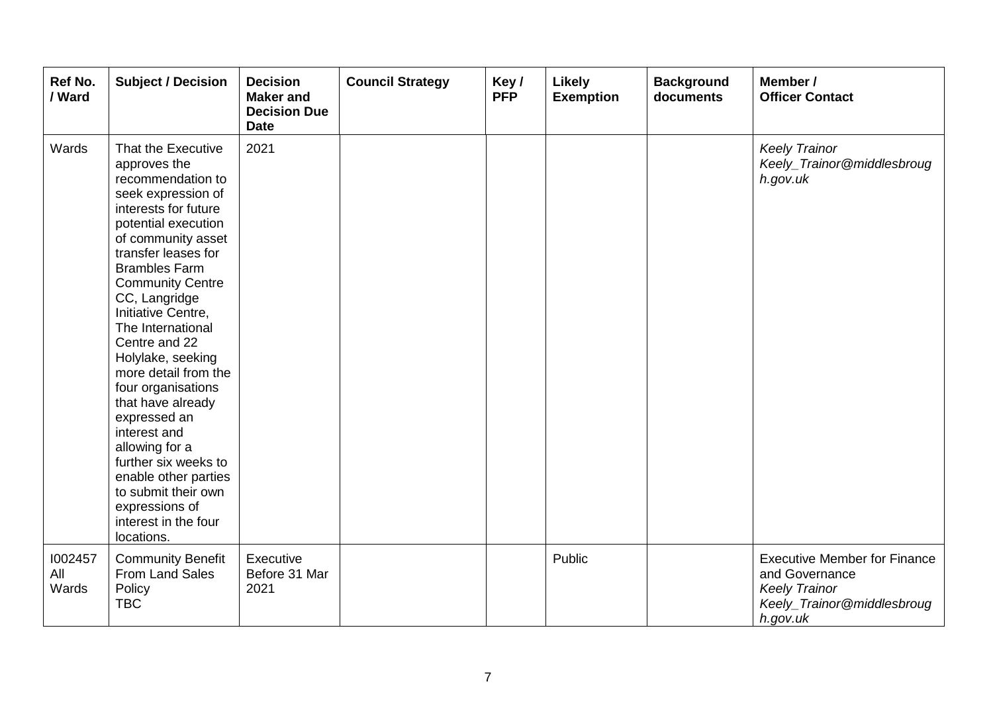| Ref No.<br>/ Ward       | <b>Subject / Decision</b>                                                                                                                                                                                                                                                                                                                                                                                                                                                                                                                                                          | <b>Decision</b><br><b>Maker</b> and<br><b>Decision Due</b><br><b>Date</b> | <b>Council Strategy</b> | Key/<br><b>PFP</b> | Likely<br><b>Exemption</b> | <b>Background</b><br>documents | Member /<br><b>Officer Contact</b>                                                                                      |
|-------------------------|------------------------------------------------------------------------------------------------------------------------------------------------------------------------------------------------------------------------------------------------------------------------------------------------------------------------------------------------------------------------------------------------------------------------------------------------------------------------------------------------------------------------------------------------------------------------------------|---------------------------------------------------------------------------|-------------------------|--------------------|----------------------------|--------------------------------|-------------------------------------------------------------------------------------------------------------------------|
| Wards                   | That the Executive<br>approves the<br>recommendation to<br>seek expression of<br>interests for future<br>potential execution<br>of community asset<br>transfer leases for<br><b>Brambles Farm</b><br><b>Community Centre</b><br>CC, Langridge<br>Initiative Centre,<br>The International<br>Centre and 22<br>Holylake, seeking<br>more detail from the<br>four organisations<br>that have already<br>expressed an<br>interest and<br>allowing for a<br>further six weeks to<br>enable other parties<br>to submit their own<br>expressions of<br>interest in the four<br>locations. | 2021                                                                      |                         |                    |                            |                                | <b>Keely Trainor</b><br>Keely_Trainor@middlesbroug<br>h.gov.uk                                                          |
| 1002457<br>All<br>Wards | <b>Community Benefit</b><br>From Land Sales<br>Policy<br><b>TBC</b>                                                                                                                                                                                                                                                                                                                                                                                                                                                                                                                | Executive<br>Before 31 Mar<br>2021                                        |                         |                    | Public                     |                                | <b>Executive Member for Finance</b><br>and Governance<br><b>Keely Trainor</b><br>Keely_Trainor@middlesbroug<br>h.gov.uk |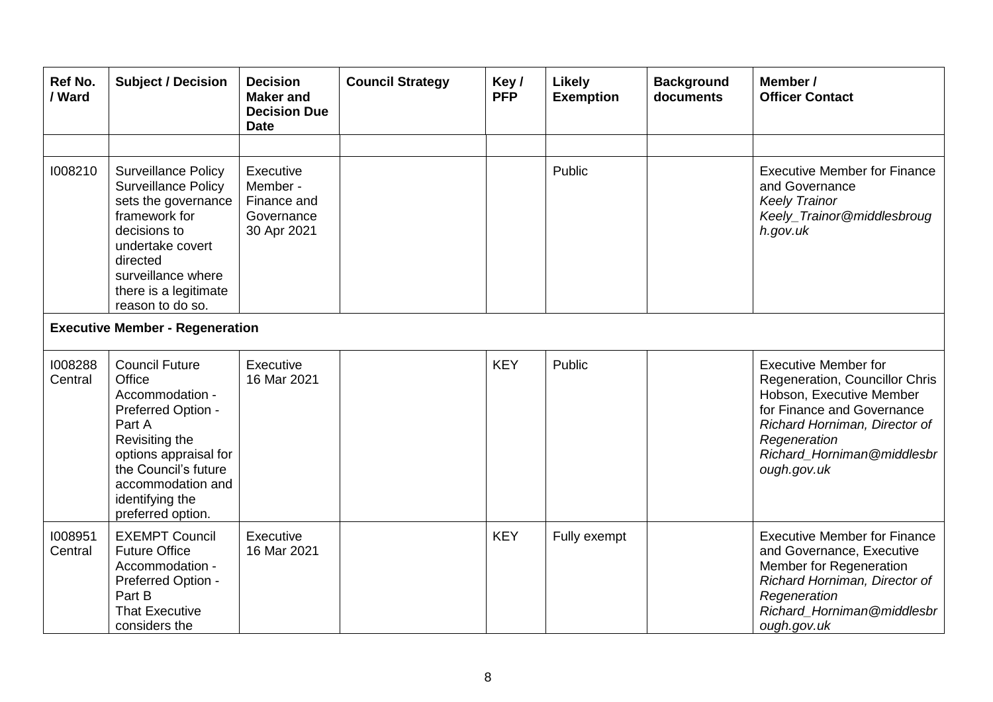| Ref No.<br>/ Ward                      | <b>Subject / Decision</b>                                                                                                                                                                                           | <b>Decision</b><br><b>Maker</b> and<br><b>Decision Due</b><br><b>Date</b> | <b>Council Strategy</b> | Key/<br><b>PFP</b> | <b>Likely</b><br><b>Exemption</b> | <b>Background</b><br>documents | Member /<br><b>Officer Contact</b>                                                                                                                                                                                    |  |
|----------------------------------------|---------------------------------------------------------------------------------------------------------------------------------------------------------------------------------------------------------------------|---------------------------------------------------------------------------|-------------------------|--------------------|-----------------------------------|--------------------------------|-----------------------------------------------------------------------------------------------------------------------------------------------------------------------------------------------------------------------|--|
|                                        |                                                                                                                                                                                                                     |                                                                           |                         |                    |                                   |                                |                                                                                                                                                                                                                       |  |
| 1008210                                | <b>Surveillance Policy</b><br><b>Surveillance Policy</b><br>sets the governance<br>framework for<br>decisions to<br>undertake covert<br>directed<br>surveillance where<br>there is a legitimate<br>reason to do so. | Executive<br>Member -<br>Finance and<br>Governance<br>30 Apr 2021         |                         |                    | Public                            |                                | <b>Executive Member for Finance</b><br>and Governance<br><b>Keely Trainor</b><br>Keely_Trainor@middlesbroug<br>h.gov.uk                                                                                               |  |
| <b>Executive Member - Regeneration</b> |                                                                                                                                                                                                                     |                                                                           |                         |                    |                                   |                                |                                                                                                                                                                                                                       |  |
| 1008288<br>Central                     | <b>Council Future</b><br>Office<br>Accommodation -<br>Preferred Option -<br>Part A<br>Revisiting the<br>options appraisal for<br>the Council's future<br>accommodation and<br>identifying the<br>preferred option.  | Executive<br>16 Mar 2021                                                  |                         | <b>KEY</b>         | Public                            |                                | <b>Executive Member for</b><br>Regeneration, Councillor Chris<br>Hobson, Executive Member<br>for Finance and Governance<br>Richard Horniman, Director of<br>Regeneration<br>Richard_Horniman@middlesbr<br>ough.gov.uk |  |
| 1008951<br>Central                     | <b>EXEMPT Council</b><br><b>Future Office</b><br>Accommodation -<br>Preferred Option -<br>Part B<br><b>That Executive</b><br>considers the                                                                          | Executive<br>16 Mar 2021                                                  |                         | <b>KEY</b>         | Fully exempt                      |                                | <b>Executive Member for Finance</b><br>and Governance, Executive<br>Member for Regeneration<br>Richard Horniman, Director of<br>Regeneration<br>Richard_Horniman@middlesbr<br>ough.gov.uk                             |  |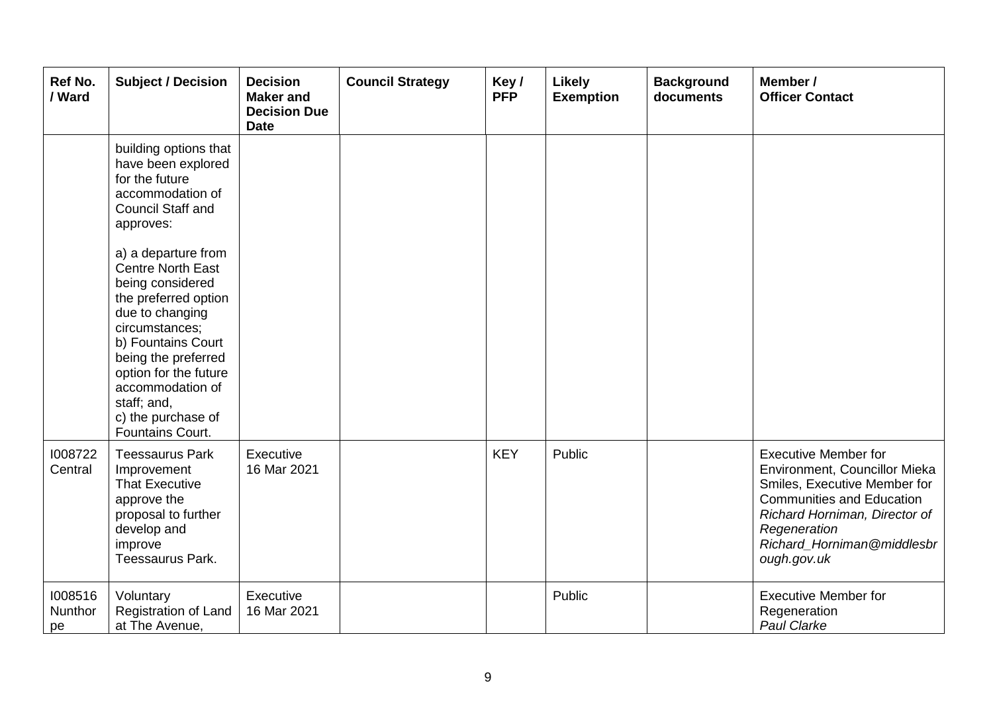| Ref No.<br>/ Ward        | <b>Subject / Decision</b>                                                                                                                                                                                                                                                           | <b>Decision</b><br><b>Maker</b> and<br><b>Decision Due</b><br><b>Date</b> | <b>Council Strategy</b> | Key/<br><b>PFP</b> | Likely<br><b>Exemption</b> | <b>Background</b><br>documents | Member /<br><b>Officer Contact</b>                                                                                                                                                                                             |
|--------------------------|-------------------------------------------------------------------------------------------------------------------------------------------------------------------------------------------------------------------------------------------------------------------------------------|---------------------------------------------------------------------------|-------------------------|--------------------|----------------------------|--------------------------------|--------------------------------------------------------------------------------------------------------------------------------------------------------------------------------------------------------------------------------|
|                          | building options that<br>have been explored<br>for the future<br>accommodation of<br><b>Council Staff and</b><br>approves:                                                                                                                                                          |                                                                           |                         |                    |                            |                                |                                                                                                                                                                                                                                |
|                          | a) a departure from<br><b>Centre North East</b><br>being considered<br>the preferred option<br>due to changing<br>circumstances;<br>b) Fountains Court<br>being the preferred<br>option for the future<br>accommodation of<br>staff; and,<br>c) the purchase of<br>Fountains Court. |                                                                           |                         |                    |                            |                                |                                                                                                                                                                                                                                |
| 1008722<br>Central       | <b>Teessaurus Park</b><br>Improvement<br><b>That Executive</b><br>approve the<br>proposal to further<br>develop and<br>improve<br>Teessaurus Park.                                                                                                                                  | Executive<br>16 Mar 2021                                                  |                         | <b>KEY</b>         | Public                     |                                | <b>Executive Member for</b><br>Environment, Councillor Mieka<br>Smiles, Executive Member for<br><b>Communities and Education</b><br>Richard Horniman, Director of<br>Regeneration<br>Richard_Horniman@middlesbr<br>ough.gov.uk |
| 1008516<br>Nunthor<br>pe | Voluntary<br>Registration of Land<br>at The Avenue,                                                                                                                                                                                                                                 | Executive<br>16 Mar 2021                                                  |                         |                    | Public                     |                                | <b>Executive Member for</b><br>Regeneration<br>Paul Clarke                                                                                                                                                                     |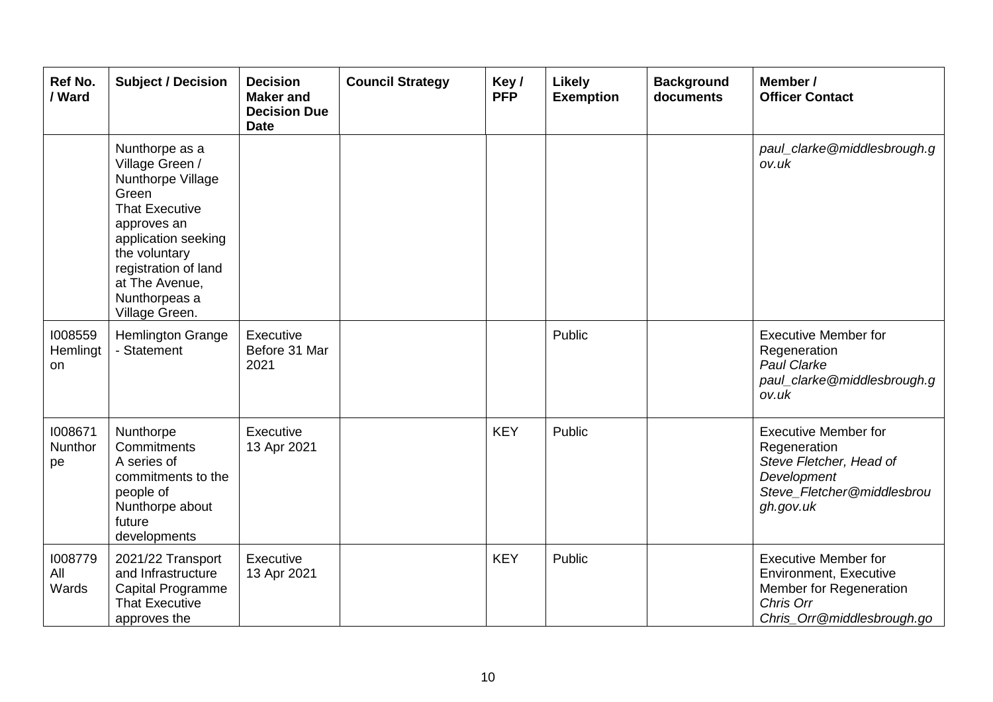| <b>Ref No.</b><br>/ Ward   | <b>Subject / Decision</b>                                                                                                                                                                                                    | <b>Decision</b><br><b>Maker and</b><br><b>Decision Due</b><br><b>Date</b> | <b>Council Strategy</b> | Key/<br><b>PFP</b> | <b>Likely</b><br><b>Exemption</b> | <b>Background</b><br>documents | Member /<br><b>Officer Contact</b>                                                                                                 |
|----------------------------|------------------------------------------------------------------------------------------------------------------------------------------------------------------------------------------------------------------------------|---------------------------------------------------------------------------|-------------------------|--------------------|-----------------------------------|--------------------------------|------------------------------------------------------------------------------------------------------------------------------------|
|                            | Nunthorpe as a<br>Village Green /<br>Nunthorpe Village<br>Green<br><b>That Executive</b><br>approves an<br>application seeking<br>the voluntary<br>registration of land<br>at The Avenue,<br>Nunthorpeas a<br>Village Green. |                                                                           |                         |                    |                                   |                                | paul_clarke@middlesbrough.g<br>ov.uk                                                                                               |
| 1008559<br>Hemlingt<br>on. | <b>Hemlington Grange</b><br>- Statement                                                                                                                                                                                      | Executive<br>Before 31 Mar<br>2021                                        |                         |                    | Public                            |                                | <b>Executive Member for</b><br>Regeneration<br>Paul Clarke<br>paul_clarke@middlesbrough.g<br>ov.uk                                 |
| 1008671<br>Nunthor<br>pe   | Nunthorpe<br>Commitments<br>A series of<br>commitments to the<br>people of<br>Nunthorpe about<br>future<br>developments                                                                                                      | Executive<br>13 Apr 2021                                                  |                         | <b>KEY</b>         | Public                            |                                | <b>Executive Member for</b><br>Regeneration<br>Steve Fletcher, Head of<br>Development<br>Steve_Fletcher@middlesbrou<br>gh.gov.uk   |
| 1008779<br>All<br>Wards    | 2021/22 Transport<br>and Infrastructure<br>Capital Programme<br><b>That Executive</b><br>approves the                                                                                                                        | Executive<br>13 Apr 2021                                                  |                         | <b>KEY</b>         | Public                            |                                | <b>Executive Member for</b><br><b>Environment, Executive</b><br>Member for Regeneration<br>Chris Orr<br>Chris_Orr@middlesbrough.go |